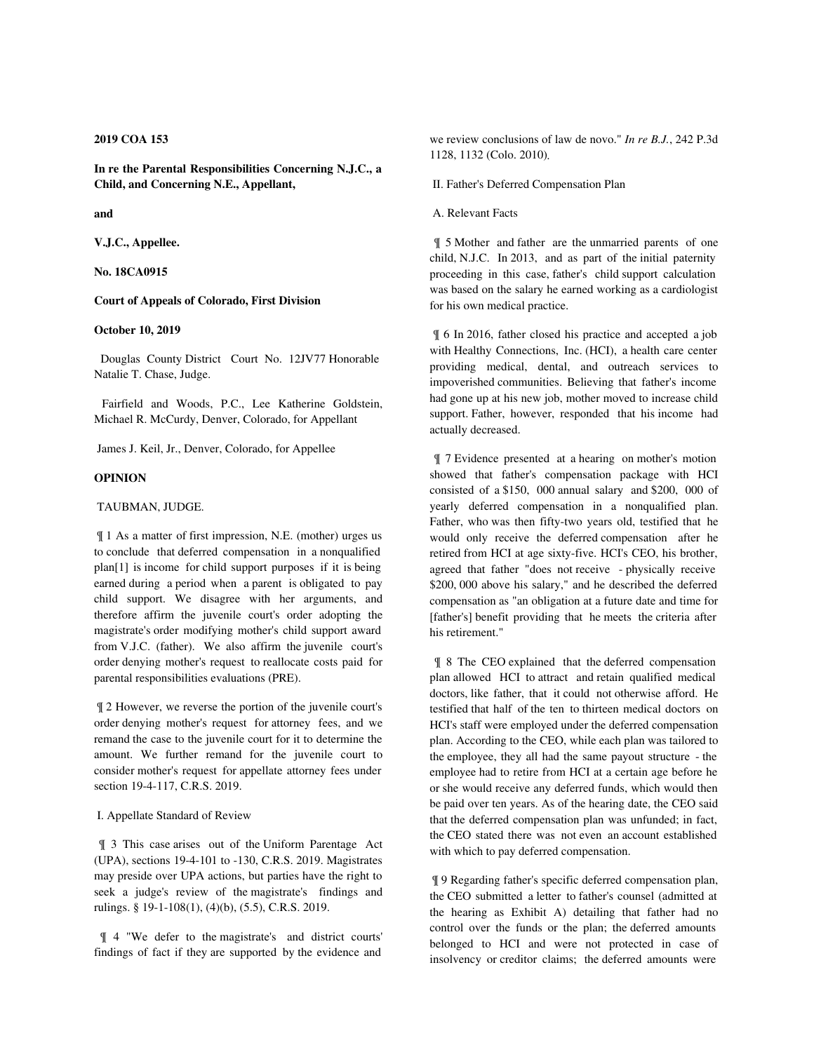**2019 COA 153**

**In re the Parental Responsibilities Concerning N.J.C., a Child, and Concerning N.E., Appellant,**

**and**

**V.J.C., Appellee.**

**No. 18CA0915**

**Court of Appeals of Colorado, First Division**

# **October 10, 2019**

 Douglas County District Court No. 12JV77 Honorable Natalie T. Chase, Judge.

 Fairfield and Woods, P.C., Lee Katherine Goldstein, Michael R. McCurdy, Denver, Colorado, for Appellant

James J. Keil, Jr., Denver, Colorado, for Appellee

## **OPINION**

## TAUBMAN, JUDGE.

 ¶ 1 As a matter of first impression, N.E. (mother) urges us to conclude that deferred compensation in a nonqualified plan[1] is income for child support purposes if it is being earned during a period when a parent is obligated to pay child support. We disagree with her arguments, and therefore affirm the juvenile court's order adopting the magistrate's order modifying mother's child support award from V.J.C. (father). We also affirm the juvenile court's order denying mother's request to reallocate costs paid for parental responsibilities evaluations (PRE).

 ¶ 2 However, we reverse the portion of the juvenile court's order denying mother's request for attorney fees, and we remand the case to the juvenile court for it to determine the amount. We further remand for the juvenile court to consider mother's request for appellate attorney fees under section 19-4-117, C.R.S. 2019.

## I. Appellate Standard of Review

 ¶ 3 This case arises out of the Uniform Parentage Act (UPA), sections 19-4-101 to -130, C.R.S. 2019. Magistrates may preside over UPA actions, but parties have the right to seek a judge's review of the magistrate's findings and rulings. § 19-1-108(1), (4)(b), (5.5), C.R.S. 2019.

 ¶ 4 "We defer to the magistrate's and district courts' findings of fact if they are supported by the evidence and

we review conclusions of law de novo." *In re B.J.*, 242 P.3d 1128, 1132 (Colo. 2010)*.*

II. Father's Deferred Compensation Plan

A. Relevant Facts

 ¶ 5 Mother and father are the unmarried parents of one child, N.J.C. In 2013, and as part of the initial paternity proceeding in this case, father's child support calculation was based on the salary he earned working as a cardiologist for his own medical practice.

 ¶ 6 In 2016, father closed his practice and accepted a job with Healthy Connections, Inc. (HCI), a health care center providing medical, dental, and outreach services to impoverished communities. Believing that father's income had gone up at his new job, mother moved to increase child support. Father, however, responded that his income had actually decreased.

 ¶ 7 Evidence presented at a hearing on mother's motion showed that father's compensation package with HCI consisted of a \$150, 000 annual salary and \$200, 000 of yearly deferred compensation in a nonqualified plan. Father, who was then fifty-two years old, testified that he would only receive the deferred compensation after he retired from HCI at age sixty-five. HCI's CEO, his brother, agreed that father "does not receive - physically receive \$200, 000 above his salary," and he described the deferred compensation as "an obligation at a future date and time for [father's] benefit providing that he meets the criteria after his retirement."

 ¶ 8 The CEO explained that the deferred compensation plan allowed HCI to attract and retain qualified medical doctors, like father, that it could not otherwise afford. He testified that half of the ten to thirteen medical doctors on HCI's staff were employed under the deferred compensation plan. According to the CEO, while each plan was tailored to the employee, they all had the same payout structure - the employee had to retire from HCI at a certain age before he or she would receive any deferred funds, which would then be paid over ten years. As of the hearing date, the CEO said that the deferred compensation plan was unfunded; in fact, the CEO stated there was not even an account established with which to pay deferred compensation.

 ¶ 9 Regarding father's specific deferred compensation plan, the CEO submitted a letter to father's counsel (admitted at the hearing as Exhibit A) detailing that father had no control over the funds or the plan; the deferred amounts belonged to HCI and were not protected in case of insolvency or creditor claims; the deferred amounts were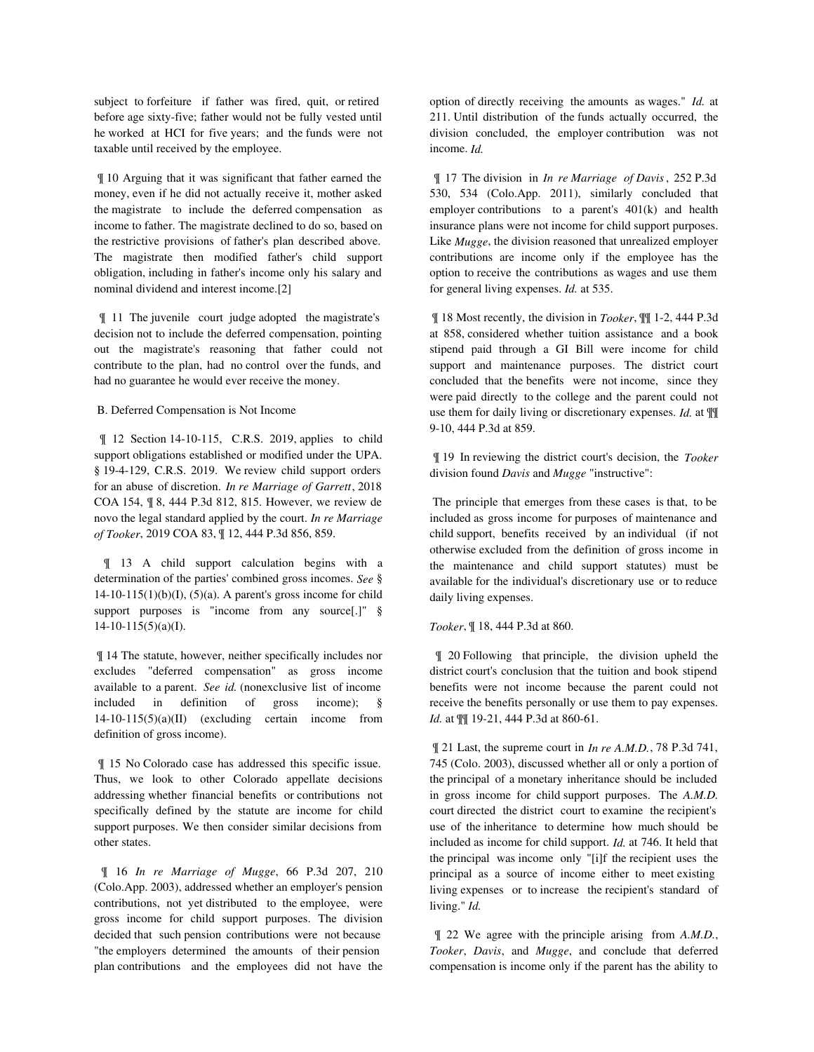subject to forfeiture if father was fired, quit, or retired before age sixty-five; father would not be fully vested until he worked at HCI for five years; and the funds were not taxable until received by the employee.

 ¶ 10 Arguing that it was significant that father earned the money, even if he did not actually receive it, mother asked the magistrate to include the deferred compensation as income to father. The magistrate declined to do so, based on the restrictive provisions of father's plan described above. The magistrate then modified father's child support obligation, including in father's income only his salary and nominal dividend and interest income.[2]

 ¶ 11 The juvenile court judge adopted the magistrate's decision not to include the deferred compensation, pointing out the magistrate's reasoning that father could not contribute to the plan, had no control over the funds, and had no guarantee he would ever receive the money.

# B. Deferred Compensation is Not Income

 ¶ 12 Section 14-10-115, C.R.S. 2019, applies to child support obligations established or modified under the UPA. § 19-4-129, C.R.S. 2019. We review child support orders for an abuse of discretion. *In re Marriage of Garrett*, 2018 COA 154, ¶ 8, 444 P.3d 812, 815. However, we review de novo the legal standard applied by the court. *In re Marriage of Tooker*, 2019 COA 83, ¶ 12, 444 P.3d 856, 859.

 ¶ 13 A child support calculation begins with a determination of the parties' combined gross incomes. *See* §  $14-10-115(1)(b)(I)$ ,  $(5)(a)$ . A parent's gross income for child support purposes is "income from any source[.]" §  $14-10-115(5)(a)(I).$ 

 ¶ 14 The statute, however, neither specifically includes nor excludes "deferred compensation" as gross income available to a parent. *See id.* (nonexclusive list of income included in definition of gross income); § 14-10-115(5)(a)(II) (excluding certain income from definition of gross income).

 ¶ 15 No Colorado case has addressed this specific issue. Thus, we look to other Colorado appellate decisions addressing whether financial benefits or contributions not specifically defined by the statute are income for child support purposes. We then consider similar decisions from other states.

 ¶ 16 *In re Marriage of Mugge*, 66 P.3d 207, 210 (Colo.App. 2003), addressed whether an employer's pension contributions, not yet distributed to the employee, were gross income for child support purposes. The division decided that such pension contributions were not because "the employers determined the amounts of their pension plan contributions and the employees did not have the option of directly receiving the amounts as wages." *Id.* at 211. Until distribution of the funds actually occurred, the division concluded, the employer contribution was not income. *Id.*

 ¶ 17 The division in *In re Marriage of Davis*, 252 P.3d 530, 534 (Colo.App. 2011), similarly concluded that employer contributions to a parent's 401(k) and health insurance plans were not income for child support purposes. Like *Mugge*, the division reasoned that unrealized employer contributions are income only if the employee has the option to receive the contributions as wages and use them for general living expenses. *Id.* at 535.

 ¶ 18 Most recently, the division in *Tooker*, ¶¶ 1-2, 444 P.3d at 858, considered whether tuition assistance and a book stipend paid through a GI Bill were income for child support and maintenance purposes. The district court concluded that the benefits were not income, since they were paid directly to the college and the parent could not use them for daily living or discretionary expenses. *Id.* at ¶¶ 9-10, 444 P.3d at 859.

 ¶ 19 In reviewing the district court's decision, the *Tooker* division found *Davis* and *Mugge* "instructive":

 The principle that emerges from these cases is that, to be included as gross income for purposes of maintenance and child support, benefits received by an individual (if not otherwise excluded from the definition of gross income in the maintenance and child support statutes) must be available for the individual's discretionary use or to reduce daily living expenses.

### *Tooker*, ¶ 18, 444 P.3d at 860.

 ¶ 20 Following that principle, the division upheld the district court's conclusion that the tuition and book stipend benefits were not income because the parent could not receive the benefits personally or use them to pay expenses. *Id.* at  $\P$ [ 19-21, 444 P.3d at 860-61.

 ¶ 21 Last, the supreme court in *In re A.M.D.*, 78 P.3d 741, 745 (Colo. 2003), discussed whether all or only a portion of the principal of a monetary inheritance should be included in gross income for child support purposes. The *A.M.D.* court directed the district court to examine the recipient's use of the inheritance to determine how much should be included as income for child support. *Id.* at 746. It held that the principal was income only "[i]f the recipient uses the principal as a source of income either to meet existing living expenses or to increase the recipient's standard of living." *Id.*

 ¶ 22 We agree with the principle arising from *A.M.D.*, *Tooker*, *Davis*, and *Mugge*, and conclude that deferred compensation is income only if the parent has the ability to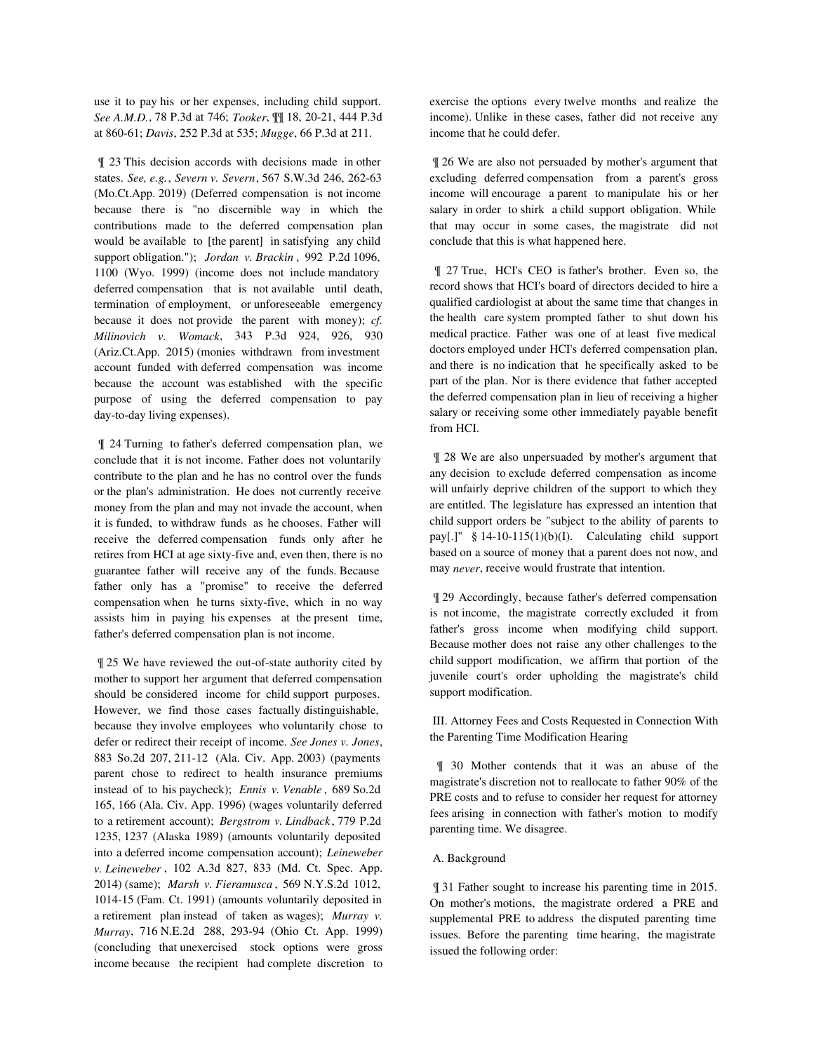use it to pay his or her expenses, including child support. *See A.M.D.*, 78 P.3d at 746; *Tooker*, ¶¶ 18, 20-21, 444 P.3d at 860-61; *Davis*, 252 P.3d at 535; *Mugge*, 66 P.3d at 211.

 ¶ 23 This decision accords with decisions made in other states. *See, e.g.*, *Severn v. Severn*, 567 S.W.3d 246, 262-63 (Mo.Ct.App. 2019) (Deferred compensation is not income because there is "no discernible way in which the contributions made to the deferred compensation plan would be available to [the parent] in satisfying any child support obligation."); *Jordan v. Brackin* , 992 P.2d 1096, 1100 (Wyo. 1999) (income does not include mandatory deferred compensation that is not available until death, termination of employment, or unforeseeable emergency because it does not provide the parent with money); *cf. Milinovich v. Womack*, 343 P.3d 924, 926, 930 (Ariz.Ct.App. 2015) (monies withdrawn from investment account funded with deferred compensation was income because the account was established with the specific purpose of using the deferred compensation to pay day-to-day living expenses).

 ¶ 24 Turning to father's deferred compensation plan, we conclude that it is not income. Father does not voluntarily contribute to the plan and he has no control over the funds or the plan's administration. He does not currently receive money from the plan and may not invade the account, when it is funded, to withdraw funds as he chooses. Father will receive the deferred compensation funds only after he retires from HCI at age sixty-five and, even then, there is no guarantee father will receive any of the funds. Because father only has a "promise" to receive the deferred compensation when he turns sixty-five, which in no way assists him in paying his expenses at the present time, father's deferred compensation plan is not income.

 ¶ 25 We have reviewed the out-of-state authority cited by mother to support her argument that deferred compensation should be considered income for child support purposes. However, we find those cases factually distinguishable, because they involve employees who voluntarily chose to defer or redirect their receipt of income. *See Jones v. Jones*, 883 So.2d 207, 211-12 (Ala. Civ. App. 2003) (payments parent chose to redirect to health insurance premiums instead of to his paycheck); *Ennis v. Venable* , 689 So.2d 165, 166 (Ala. Civ. App. 1996) (wages voluntarily deferred to a retirement account); *Bergstrom v. Lindback* , 779 P.2d 1235, 1237 (Alaska 1989) (amounts voluntarily deposited into a deferred income compensation account); *Leineweber v. Leineweber* , 102 A.3d 827, 833 (Md. Ct. Spec. App. 2014) (same); *Marsh v. Fieramusca* , 569 N.Y.S.2d 1012, 1014-15 (Fam. Ct. 1991) (amounts voluntarily deposited in a retirement plan instead of taken as wages); *Murray v. Murray*, 716 N.E.2d 288, 293-94 (Ohio Ct. App. 1999) (concluding that unexercised stock options were gross income because the recipient had complete discretion to exercise the options every twelve months and realize the income). Unlike in these cases, father did not receive any income that he could defer.

 ¶ 26 We are also not persuaded by mother's argument that excluding deferred compensation from a parent's gross income will encourage a parent to manipulate his or her salary in order to shirk a child support obligation. While that may occur in some cases, the magistrate did not conclude that this is what happened here.

 ¶ 27 True, HCI's CEO is father's brother. Even so, the record shows that HCI's board of directors decided to hire a qualified cardiologist at about the same time that changes in the health care system prompted father to shut down his medical practice. Father was one of at least five medical doctors employed under HCI's deferred compensation plan, and there is no indication that he specifically asked to be part of the plan. Nor is there evidence that father accepted the deferred compensation plan in lieu of receiving a higher salary or receiving some other immediately payable benefit from HCI.

 ¶ 28 We are also unpersuaded by mother's argument that any decision to exclude deferred compensation as income will unfairly deprive children of the support to which they are entitled. The legislature has expressed an intention that child support orders be "subject to the ability of parents to pay[.]" § 14-10-115(1)(b)(I). Calculating child support based on a source of money that a parent does not now, and may *never*, receive would frustrate that intention.

 ¶ 29 Accordingly, because father's deferred compensation is not income, the magistrate correctly excluded it from father's gross income when modifying child support. Because mother does not raise any other challenges to the child support modification, we affirm that portion of the juvenile court's order upholding the magistrate's child support modification.

 III. Attorney Fees and Costs Requested in Connection With the Parenting Time Modification Hearing

 ¶ 30 Mother contends that it was an abuse of the magistrate's discretion not to reallocate to father 90% of the PRE costs and to refuse to consider her request for attorney fees arising in connection with father's motion to modify parenting time. We disagree.

# A. Background

 ¶ 31 Father sought to increase his parenting time in 2015. On mother's motions, the magistrate ordered a PRE and supplemental PRE to address the disputed parenting time issues. Before the parenting time hearing, the magistrate issued the following order: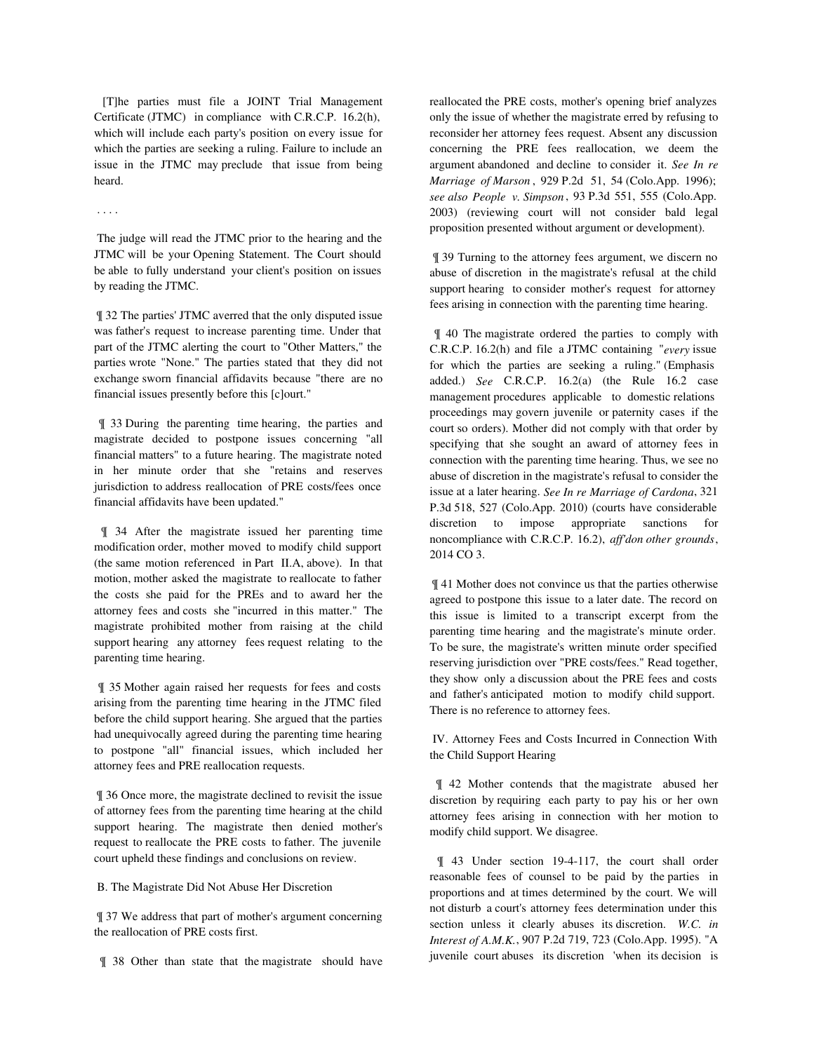[T]he parties must file a JOINT Trial Management Certificate (JTMC) in compliance with C.R.C.P. 16.2(h), which will include each party's position on every issue for which the parties are seeking a ruling. Failure to include an issue in the JTMC may preclude that issue from being heard.

#### . . . .

 The judge will read the JTMC prior to the hearing and the JTMC will be your Opening Statement. The Court should be able to fully understand your client's position on issues by reading the JTMC.

 ¶ 32 The parties' JTMC averred that the only disputed issue was father's request to increase parenting time. Under that part of the JTMC alerting the court to "Other Matters," the parties wrote "None." The parties stated that they did not exchange sworn financial affidavits because "there are no financial issues presently before this [c]ourt."

 ¶ 33 During the parenting time hearing, the parties and magistrate decided to postpone issues concerning "all financial matters" to a future hearing. The magistrate noted in her minute order that she "retains and reserves jurisdiction to address reallocation of PRE costs/fees once financial affidavits have been updated."

 ¶ 34 After the magistrate issued her parenting time modification order, mother moved to modify child support (the same motion referenced in Part II.A, above). In that motion, mother asked the magistrate to reallocate to father the costs she paid for the PREs and to award her the attorney fees and costs she "incurred in this matter." The magistrate prohibited mother from raising at the child support hearing any attorney fees request relating to the parenting time hearing.

 ¶ 35 Mother again raised her requests for fees and costs arising from the parenting time hearing in the JTMC filed before the child support hearing. She argued that the parties had unequivocally agreed during the parenting time hearing to postpone "all" financial issues, which included her attorney fees and PRE reallocation requests.

 ¶ 36 Once more, the magistrate declined to revisit the issue of attorney fees from the parenting time hearing at the child support hearing. The magistrate then denied mother's request to reallocate the PRE costs to father. The juvenile court upheld these findings and conclusions on review.

# B. The Magistrate Did Not Abuse Her Discretion

 ¶ 37 We address that part of mother's argument concerning the reallocation of PRE costs first.

¶ 38 Other than state that the magistrate should have

reallocated the PRE costs, mother's opening brief analyzes only the issue of whether the magistrate erred by refusing to reconsider her attorney fees request. Absent any discussion concerning the PRE fees reallocation, we deem the argument abandoned and decline to consider it. *See In re Marriage of Marson* , 929 P.2d 51, 54 (Colo.App. 1996); *see also People v. Simpson* , 93 P.3d 551, 555 (Colo.App. 2003) (reviewing court will not consider bald legal proposition presented without argument or development).

 ¶ 39 Turning to the attorney fees argument, we discern no abuse of discretion in the magistrate's refusal at the child support hearing to consider mother's request for attorney fees arising in connection with the parenting time hearing.

 ¶ 40 The magistrate ordered the parties to comply with C.R.C.P. 16.2(h) and file a JTMC containing "*every* issue for which the parties are seeking a ruling." (Emphasis added.) *See* C.R.C.P. 16.2(a) (the Rule 16.2 case management procedures applicable to domestic relations proceedings may govern juvenile or paternity cases if the court so orders). Mother did not comply with that order by specifying that she sought an award of attorney fees in connection with the parenting time hearing. Thus, we see no abuse of discretion in the magistrate's refusal to consider the issue at a later hearing. *See In re Marriage of Cardona*, 321 P.3d 518, 527 (Colo.App. 2010) (courts have considerable discretion to impose appropriate sanctions for noncompliance with C.R.C.P. 16.2), *aff'don other grounds*, 2014 CO 3.

 ¶ 41 Mother does not convince us that the parties otherwise agreed to postpone this issue to a later date. The record on this issue is limited to a transcript excerpt from the parenting time hearing and the magistrate's minute order. To be sure, the magistrate's written minute order specified reserving jurisdiction over "PRE costs/fees." Read together, they show only a discussion about the PRE fees and costs and father's anticipated motion to modify child support. There is no reference to attorney fees.

 IV. Attorney Fees and Costs Incurred in Connection With the Child Support Hearing

 ¶ 42 Mother contends that the magistrate abused her discretion by requiring each party to pay his or her own attorney fees arising in connection with her motion to modify child support. We disagree.

 ¶ 43 Under section 19-4-117, the court shall order reasonable fees of counsel to be paid by the parties in proportions and at times determined by the court. We will not disturb a court's attorney fees determination under this section unless it clearly abuses its discretion. *W.C. in Interest of A.M.K.*, 907 P.2d 719, 723 (Colo.App. 1995). "A juvenile court abuses its discretion 'when its decision is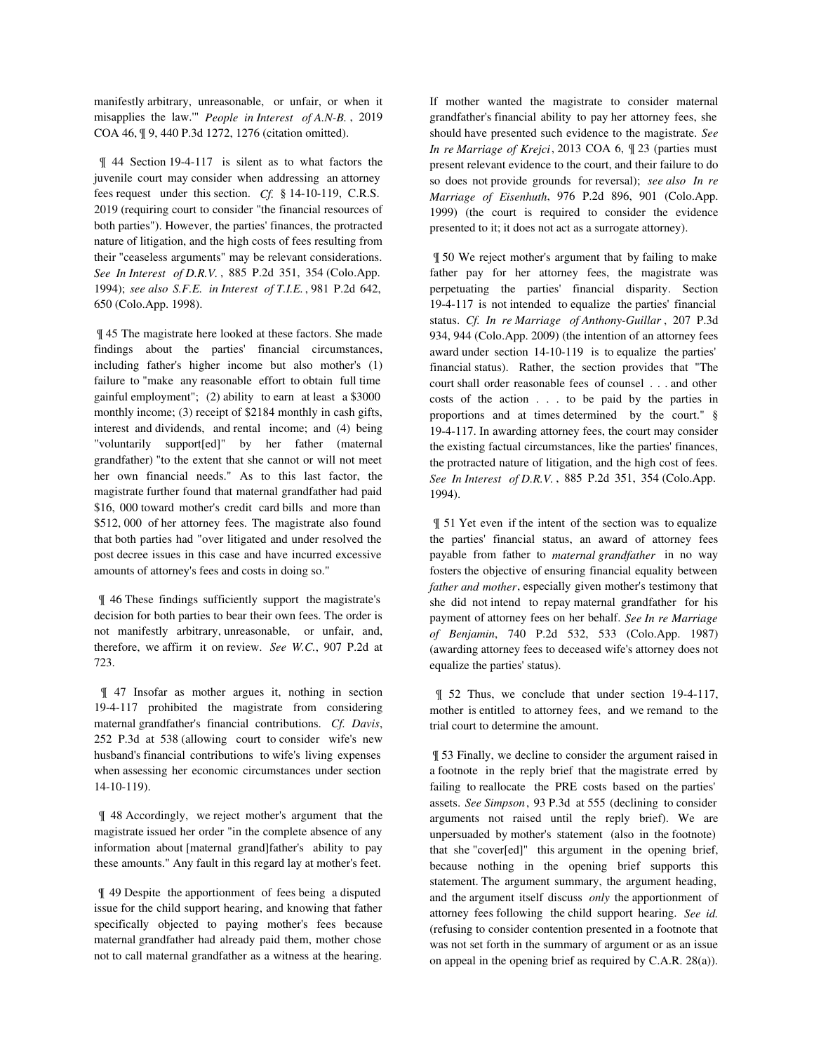manifestly arbitrary, unreasonable, or unfair, or when it misapplies the law.'" *People in Interest of A.N-B.* , 2019 COA 46, ¶ 9, 440 P.3d 1272, 1276 (citation omitted).

 ¶ 44 Section 19-4-117 is silent as to what factors the juvenile court may consider when addressing an attorney fees request under this section. *Cf.* § 14-10-119, C.R.S. 2019 (requiring court to consider "the financial resources of both parties"). However, the parties' finances, the protracted nature of litigation, and the high costs of fees resulting from their "ceaseless arguments" may be relevant considerations. *See In Interest of D.R.V.* , 885 P.2d 351, 354 (Colo.App. 1994); *see also S.F.E. in Interest of T.I.E.* , 981 P.2d 642, 650 (Colo.App. 1998).

 ¶ 45 The magistrate here looked at these factors. She made findings about the parties' financial circumstances, including father's higher income but also mother's (1) failure to "make any reasonable effort to obtain full time gainful employment"; (2) ability to earn at least a \$3000 monthly income; (3) receipt of \$2184 monthly in cash gifts, interest and dividends, and rental income; and (4) being "voluntarily support[ed]" by her father (maternal grandfather) "to the extent that she cannot or will not meet her own financial needs." As to this last factor, the magistrate further found that maternal grandfather had paid \$16, 000 toward mother's credit card bills and more than \$512, 000 of her attorney fees. The magistrate also found that both parties had "over litigated and under resolved the post decree issues in this case and have incurred excessive amounts of attorney's fees and costs in doing so."

 ¶ 46 These findings sufficiently support the magistrate's decision for both parties to bear their own fees. The order is not manifestly arbitrary, unreasonable, or unfair, and, therefore, we affirm it on review. *See W.C.*, 907 P.2d at 723.

 ¶ 47 Insofar as mother argues it, nothing in section 19-4-117 prohibited the magistrate from considering maternal grandfather's financial contributions. *Cf. Davis*, 252 P.3d at 538 (allowing court to consider wife's new husband's financial contributions to wife's living expenses when assessing her economic circumstances under section 14-10-119).

 ¶ 48 Accordingly, we reject mother's argument that the magistrate issued her order "in the complete absence of any information about [maternal grand]father's ability to pay these amounts." Any fault in this regard lay at mother's feet.

 ¶ 49 Despite the apportionment of fees being a disputed issue for the child support hearing, and knowing that father specifically objected to paying mother's fees because maternal grandfather had already paid them, mother chose not to call maternal grandfather as a witness at the hearing.

If mother wanted the magistrate to consider maternal grandfather's financial ability to pay her attorney fees, she should have presented such evidence to the magistrate. *See In re Marriage of Krejci*, 2013 COA 6, ¶ 23 (parties must present relevant evidence to the court, and their failure to do so does not provide grounds for reversal); *see also In re Marriage of Eisenhuth*, 976 P.2d 896, 901 (Colo.App. 1999) (the court is required to consider the evidence presented to it; it does not act as a surrogate attorney).

 ¶ 50 We reject mother's argument that by failing to make father pay for her attorney fees, the magistrate was perpetuating the parties' financial disparity. Section 19-4-117 is not intended to equalize the parties' financial status. *Cf. In re Marriage of Anthony-Guillar* , 207 P.3d 934, 944 (Colo.App. 2009) (the intention of an attorney fees award under section 14-10-119 is to equalize the parties' financial status). Rather, the section provides that "The court shall order reasonable fees of counsel . . . and other costs of the action . . . to be paid by the parties in proportions and at times determined by the court." § 19-4-117. In awarding attorney fees, the court may consider the existing factual circumstances, like the parties' finances, the protracted nature of litigation, and the high cost of fees. *See In Interest of D.R.V.* , 885 P.2d 351, 354 (Colo.App. 1994).

 ¶ 51 Yet even if the intent of the section was to equalize the parties' financial status, an award of attorney fees payable from father to *maternal grandfather* in no way fosters the objective of ensuring financial equality between *father and mother*, especially given mother's testimony that she did not intend to repay maternal grandfather for his payment of attorney fees on her behalf. *See In re Marriage of Benjamin*, 740 P.2d 532, 533 (Colo.App. 1987) (awarding attorney fees to deceased wife's attorney does not equalize the parties' status).

 ¶ 52 Thus, we conclude that under section 19-4-117, mother is entitled to attorney fees, and we remand to the trial court to determine the amount.

 ¶ 53 Finally, we decline to consider the argument raised in a footnote in the reply brief that the magistrate erred by failing to reallocate the PRE costs based on the parties' assets. *See Simpson*, 93 P.3d at 555 (declining to consider arguments not raised until the reply brief). We are unpersuaded by mother's statement (also in the footnote) that she "cover[ed]" this argument in the opening brief, because nothing in the opening brief supports this statement. The argument summary, the argument heading, and the argument itself discuss *only* the apportionment of attorney fees following the child support hearing. *See id.* (refusing to consider contention presented in a footnote that was not set forth in the summary of argument or as an issue on appeal in the opening brief as required by C.A.R. 28(a)).